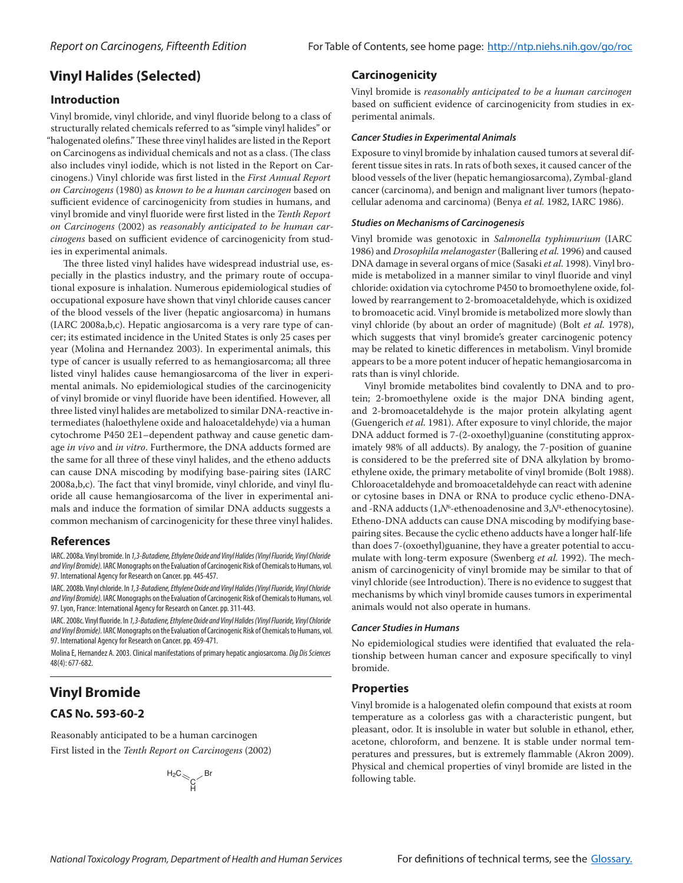## **Vinyl Halides (Selected)**

## **Introduction**

Vinyl bromide, vinyl chloride, and vinyl fluoride belong to a class of structurally related chemicals referred to as "simple vinyl halides" or "halogenated olefins." These three vinyl halides are listed in the Report on Carcinogens as individual chemicals and not as a class. (The class also includes vinyl iodide, which is not listed in the Report on Carcinogens.) Vinyl chloride was first listed in the *First Annual Report on Carcinogens* (1980) as *known to be a human carcinogen* based on sufficient evidence of carcinogenicity from studies in humans, and vinyl bromide and vinyl fluoride were first listed in the *Tenth Report on Carcinogens* (2002) as *reasonably anticipated to be human carcinogens* based on sufficient evidence of carcinogenicity from studies in experimental animals.

The three listed vinyl halides have widespread industrial use, especially in the plastics industry, and the primary route of occupational exposure is inhalation. Numerous epidemiological studies of occupational exposure have shown that vinyl chloride causes cancer of the blood vessels of the liver (hepatic angiosarcoma) in humans (IARC 2008a,b,c). Hepatic angiosarcoma is a very rare type of cancer; its estimated incidence in the United States is only 25 cases per year (Molina and Hernandez 2003). In experimental animals, this type of cancer is usually referred to as hemangiosarcoma; all three listed vinyl halides cause hemangiosarcoma of the liver in experimental animals. No epidemiological studies of the carcinogenicity of vinyl bromide or vinyl fluoride have been identified. However, all three listed vinyl halides are metabolized to similar DNA-reactive intermediates (haloethylene oxide and haloacetaldehyde) via a human cytochrome P450 2E1–dependent pathway and cause genetic damage *in vivo* and *in vitro*. Furthermore, the DNA adducts formed are the same for all three of these vinyl halides, and the etheno adducts can cause DNA miscoding by modifying base-pairing sites (IARC 2008a,b,c). The fact that vinyl bromide, vinyl chloride, and vinyl fluoride all cause hemangiosarcoma of the liver in experimental animals and induce the formation of similar DNA adducts suggests a common mechanism of carcinogenicity for these three vinyl halides.

## **References**

IARC. 2008a. Vinyl bromide. In *1,3-Butadiene, Ethylene Oxide and Vinyl Halides (Vinyl Fluoride, Vinyl Chloride and Vinyl Bromide).* IARC Monographs on the Evaluation of Carcinogenic Risk of Chemicals to Humans, vol. 97. International Agency for Research on Cancer. pp. 445-457.

IARC. 2008b. Vinyl chloride. In *1,3-Butadiene, Ethylene Oxide and Vinyl Halides (Vinyl Fluoride, Vinyl Chloride and Vinyl Bromide).* IARC Monographs on the Evaluation of Carcinogenic Risk of Chemicals to Humans, vol. 97. Lyon, France: International Agency for Research on Cancer. pp. 311-443.

IARC. 2008c. Vinyl fluoride. In *1,3-Butadiene, Ethylene Oxide and Vinyl Halides (Vinyl Fluoride, Vinyl Chloride and Vinyl Bromide).* IARC Monographs on the Evaluation of Carcinogenic Risk of Chemicals to Humans, vol. 97. International Agency for Research on Cancer. pp. 459-471.

Molina E, Hernandez A. 2003. Clinical manifestations of primary hepatic angiosarcoma. *Dig Dis Sciences* 48(4): 677-682.

# **Vinyl Bromide**

## **CAS No. 593-60-2**

Reasonably anticipated to be a human carcinogen First listed in the *Tenth Report on Carcinogens* (2002)

$$
\overset{H_2C}{\underset{H}{\sim}}\underset{H}{\underset{H}{\sim}}\mathsf{Br}
$$

## **Carcinogenicity**

Vinyl bromide is *reasonably anticipated to be a human carcinogen* based on sufficient evidence of carcinogenicity from studies in experimental animals.

#### *Cancer Studies in Experimental Animals*

Exposure to vinyl bromide by inhalation caused tumors at several different tissue sites in rats. In rats of both sexes, it caused cancer of the blood vessels of the liver (hepatic hemangiosarcoma), Zymbal-gland cancer (carcinoma), and benign and malignant liver tumors (hepatocellular adenoma and carcinoma) (Benya *et al.* 1982, IARC 1986).

#### *Studies on Mechanisms of Carcinogenesis*

Vinyl bromide was genotoxic in *Salmonella typhimurium* (IARC 1986) and *Drosophila melanogaster* (Ballering *et al.* 1996) and caused DNA damage in several organs of mice (Sasaki *et al.* 1998). Vinyl bromide is metabolized in a manner similar to vinyl fluoride and vinyl chloride: oxidation via cytochrome P450 to bromoethylene oxide, followed by rearrangement to 2-bromoacetaldehyde, which is oxidized to bromoacetic acid. Vinyl bromide is metabolized more slowly than vinyl chloride (by about an order of magnitude) (Bolt *et al.* 1978), which suggests that vinyl bromide's greater carcinogenic potency may be related to kinetic differences in metabolism. Vinyl bromide appears to be a more potent inducer of hepatic hemangiosarcoma in rats than is vinyl chloride.

Vinyl bromide metabolites bind covalently to DNA and to protein; 2-bromoethylene oxide is the major DNA binding agent, and 2-bromoacetaldehyde is the major protein alkylating agent (Guengerich *et al.* 1981). After exposure to vinyl chloride, the major DNA adduct formed is 7-(2-oxoethyl)guanine (constituting approximately 98% of all adducts). By analogy, the 7-position of guanine is considered to be the preferred site of DNA alkylation by bromoethylene oxide, the primary metabolite of vinyl bromide (Bolt 1988). Chloroacetaldehyde and bromoacetaldehyde can react with adenine or cytosine bases in DNA or RNA to produce cyclic etheno-DNAand -RNA adducts (1, $N^{\scriptscriptstyle 6}$ -ethenoadenosine and 3, $N^{\scriptscriptstyle 4}$ -ethenocytosine). Etheno-DNA adducts can cause DNA miscoding by modifying basepairing sites. Because the cyclic etheno adducts have a longer half-life than does 7-(oxoethyl)guanine, they have a greater potential to accumulate with long-term exposure (Swenberg *et al.* 1992). The mechanism of carcinogenicity of vinyl bromide may be similar to that of vinyl chloride (see Introduction). There is no evidence to suggest that mechanisms by which vinyl bromide causes tumors in experimental animals would not also operate in humans.

#### *Cancer Studies in Humans*

No epidemiological studies were identified that evaluated the relationship between human cancer and exposure specifically to vinyl bromide.

## **Properties**

Vinyl bromide is a halogenated olefin compound that exists at room temperature as a colorless gas with a characteristic pungent, but pleasant, odor. It is insoluble in water but soluble in ethanol, ether, acetone, chloroform, and benzene. It is stable under normal temperatures and pressures, but is extremely flammable (Akron 2009). Physical and chemical properties of vinyl bromide are listed in the following table.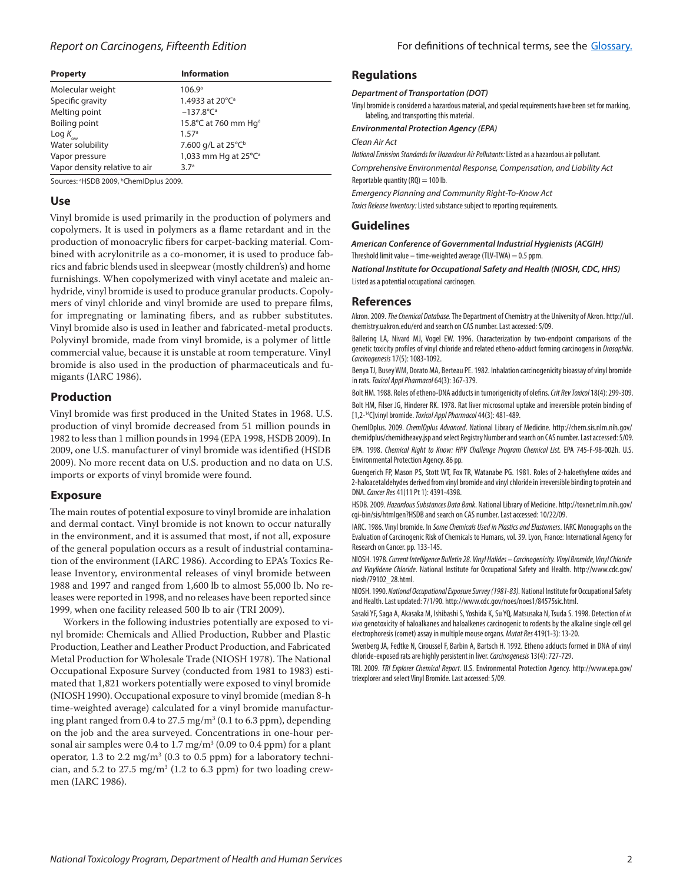| <b>Property</b>               | <b>Information</b>               |
|-------------------------------|----------------------------------|
| Molecular weight              | 106.9 <sup>a</sup>               |
| Specific gravity              | 1.4933 at 20°C <sup>a</sup>      |
| Melting point                 | $-137.8$ °C <sup>a</sup>         |
| Boiling point                 | 15.8°C at 760 mm Hg <sup>a</sup> |
| Log $K_{_{\rm{ow}}}$          | 1.57 <sup>a</sup>                |
| Water solubility              | 7.600 g/L at 25°C <sup>b</sup>   |
| Vapor pressure                | 1,033 mm Hg at 25°C <sup>a</sup> |
| Vapor density relative to air | 3.7 <sup>a</sup>                 |

Sources: <sup>a</sup>HSDB 2009, <sup>b</sup>ChemIDplus 2009.

## **Use**

Vinyl bromide is used primarily in the production of polymers and copolymers. It is used in polymers as a flame retardant and in the production of monoacrylic fibers for carpet-backing material. Combined with acrylonitrile as a co-monomer, it is used to produce fabrics and fabric blends used in sleepwear (mostly children's) and home furnishings. When copolymerized with vinyl acetate and maleic anhydride, vinyl bromide is used to produce granular products. Copolymers of vinyl chloride and vinyl bromide are used to prepare films, for impregnating or laminating fibers, and as rubber substitutes. Vinyl bromide also is used in leather and fabricated-metal products. Polyvinyl bromide, made from vinyl bromide, is a polymer of little commercial value, because it is unstable at room temperature. Vinyl bromide is also used in the production of pharmaceuticals and fumigants (IARC 1986).

## **Production**

Vinyl bromide was first produced in the United States in 1968. U.S. production of vinyl bromide decreased from 51 million pounds in 1982 to less than 1 million pounds in 1994 (EPA 1998, HSDB 2009). In 2009, one U.S. manufacturer of vinyl bromide was identified (HSDB 2009). No more recent data on U.S. production and no data on U.S. imports or exports of vinyl bromide were found.

## **Exposure**

The main routes of potential exposure to vinyl bromide are inhalation and dermal contact. Vinyl bromide is not known to occur naturally in the environment, and it is assumed that most, if not all, exposure of the general population occurs as a result of industrial contamination of the environment (IARC 1986). According to EPA's Toxics Release Inventory, environmental releases of vinyl bromide between 1988 and 1997 and ranged from 1,600 lb to almost 55,000 lb. No releases were reported in 1998, and no releases have been reported since 1999, when one facility released 500 lb to air (TRI 2009).

Workers in the following industries potentially are exposed to vinyl bromide: Chemicals and Allied Production, Rubber and Plastic Production, Leather and Leather Product Production, and Fabricated Metal Production for Wholesale Trade (NIOSH 1978). The National Occupational Exposure Survey (conducted from 1981 to 1983) estimated that 1,821 workers potentially were exposed to vinyl bromide (NIOSH 1990). Occupational exposure to vinyl bromide (median 8-h time-weighted average) calculated for a vinyl bromide manufacturing plant ranged from 0.4 to 27.5 mg/m3 (0.1 to 6.3 ppm), depending on the job and the area surveyed. Concentrations in one-hour personal air samples were  $0.4$  to  $1.7 \text{ mg/m}^3$  (0.09 to 0.4 ppm) for a plant operator,  $1.3$  to  $2.2 \text{ mg/m}^3$  (0.3 to 0.5 ppm) for a laboratory technician, and 5.2 to  $27.5 \text{ mg/m}^3$  (1.2 to 6.3 ppm) for two loading crewmen (IARC 1986).

## **Regulations**

#### *Department of Transportation (DOT)*

Vinyl bromide is considered a hazardous material, and special requirements have been set for marking, labeling, and transporting this material.

*Environmental Protection Agency (EPA)*

#### *Clean Air Act*

*National Emission Standards for Hazardous Air Pollutants:* Listed as a hazardous air pollutant.

*Comprehensive Environmental Response, Compensation, and Liability Act* Reportable quantity  $(RQ) = 100$  lb.

*Emergency Planning and Community Right-To-Know Act*

*Toxics Release Inventory:* Listed substance subject to reporting requirements.

## **Guidelines**

*American Conference of Governmental Industrial Hygienists (ACGIH)* Threshold limit value – time-weighted average (TLV-TWA) =  $0.5$  ppm.

*National Institute for Occupational Safety and Health (NIOSH, CDC, HHS)* Listed as a potential occupational carcinogen.

## **References**

Akron. 2009. *The Chemical Database.* The Department of Chemistry at the University of Akron. http://ull. chemistry.uakron.edu/erd and search on CAS number. Last accessed: 5/09.

Ballering LA, Nivard MJ, Vogel EW. 1996. Characterization by two-endpoint comparisons of the genetic toxicity profiles of vinyl chloride and related etheno-adduct forming carcinogens in *Drosophila*. *Carcinogenesis* 17(5): 1083-1092.

Benya TJ, Busey WM, Dorato MA, Berteau PE. 1982. Inhalation carcinogenicity bioassay of vinyl bromide in rats. *Toxicol Appl Pharmacol* 64(3): 367-379.

Bolt HM. 1988. Roles of etheno-DNA adducts in tumorigenicity of olefins. *Crit Rev Toxicol* 18(4): 299-309. Bolt HM, Filser JG, Hinderer RK. 1978. Rat liver microsomal uptake and irreversible protein binding of [1,2-14C]vinyl bromide. *Toxicol Appl Pharmacol* 44(3): 481-489.

ChemIDplus. 2009. *ChemIDplus Advanced*. National Library of Medicine. http://chem.sis.nlm.nih.gov/ chemidplus/chemidheavy.jsp and select Registry Number and search on CAS number. Last accessed: 5/09.

EPA. 1998. *Chemical Right to Know: HPV Challenge Program Chemical List.* EPA 745-F-98-002h. U.S. Environmental Protection Agency. 86 pp.

Guengerich FP, Mason PS, Stott WT, Fox TR, Watanabe PG. 1981. Roles of 2-haloethylene oxides and 2-haloacetaldehydes derived from vinyl bromide and vinyl chloride in irreversible binding to protein and DNA. *Cancer Res* 41(11 Pt 1): 4391-4398.

HSDB. 2009. *Hazardous Substances Data Bank*. National Library of Medicine. http://toxnet.nlm.nih.gov/ cgi-bin/sis/htmlgen?HSDB and search on CAS number. Last accessed: 10/22/09.

IARC. 1986. Vinyl bromide. In *Some Chemicals Used in Plastics and Elastomers*. IARC Monographs on the Evaluation of Carcinogenic Risk of Chemicals to Humans, vol. 39. Lyon, France: International Agency for Research on Cancer. pp. 133-145.

NIOSH. 1978. *Current Intelligence Bulletin 28. Vinyl Halides – Carcinogenicity. Vinyl Bromide, Vinyl Chloride and Vinylidene Chloride*. National Institute for Occupational Safety and Health. http://www.cdc.gov/ niosh/79102\_28.html.

NIOSH. 1990. *National Occupational Exposure Survey (1981-83).* National Institute for Occupational Safety and Health. Last updated: 7/1/90. http://www.cdc.gov/noes/noes1/84575sic.html.

Sasaki YF, Saga A, Akasaka M, Ishibashi S, Yoshida K, Su YQ, Matsusaka N, Tsuda S. 1998. Detection of *in vivo* genotoxicity of haloalkanes and haloalkenes carcinogenic to rodents by the alkaline single cell gel electrophoresis (comet) assay in multiple mouse organs. *Mutat Res* 419(1-3): 13-20.

Swenberg JA, Fedtke N, Ciroussel F, Barbin A, Bartsch H. 1992. Etheno adducts formed in DNA of vinyl chloride-exposed rats are highly persistent in liver. *Carcinogenesis* 13(4): 727-729.

TRI. 2009. *TRI Explorer Chemical Report.* U.S. Environmental Protection Agency. http://www.epa.gov/ triexplorer and select Vinyl Bromide. Last accessed: 5/09.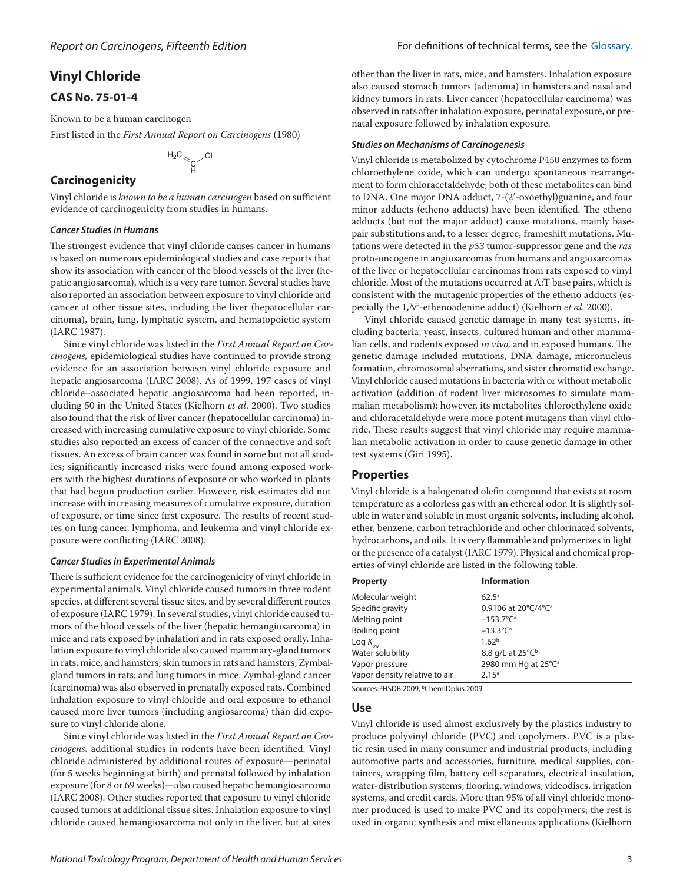## **Vinyl Chloride**

## **CAS No. 75-01-4**

Known to be a human carcinogen

First listed in the *First Annual Report on Carcinogens* (1980)

$$
^{H_2C}\mathcal{C}\mathcal{C}^1
$$

## **Carcinogenicity**

Vinyl chloride is *known to be a human carcinogen* based on sufficient evidence of carcinogenicity from studies in humans.

## *Cancer Studies in Humans*

The strongest evidence that vinyl chloride causes cancer in humans is based on numerous epidemiological studies and case reports that show its association with cancer of the blood vessels of the liver (hepatic angiosarcoma), which is a very rare tumor. Several studies have also reported an association between exposure to vinyl chloride and cancer at other tissue sites, including the liver (hepatocellular carcinoma), brain, lung, lymphatic system, and hematopoietic system (IARC 1987).

Since vinyl chloride was listed in the *First Annual Report on Carcinogens,* epidemiological studies have continued to provide strong evidence for an association between vinyl chloride exposure and hepatic angiosarcoma (IARC 2008). As of 1999, 197 cases of vinyl chloride–associated hepatic angiosarcoma had been reported, including 50 in the United States (Kielhorn *et al*. 2000). Two studies also found that the risk of liver cancer (hepatocellular carcinoma) increased with increasing cumulative exposure to vinyl chloride. Some studies also reported an excess of cancer of the connective and soft tissues. An excess of brain cancer was found in some but not all studies; significantly increased risks were found among exposed workers with the highest durations of exposure or who worked in plants that had begun production earlier. However, risk estimates did not increase with increasing measures of cumulative exposure, duration of exposure, or time since first exposure. The results of recent studies on lung cancer, lymphoma, and leukemia and vinyl chloride exposure were conflicting (IARC 2008).

## *Cancer Studies in Experimental Animals*

There is sufficient evidence for the carcinogenicity of vinyl chloride in experimental animals. Vinyl chloride caused tumors in three rodent species, at different several tissue sites, and by several different routes of exposure (IARC 1979). In several studies, vinyl chloride caused tumors of the blood vessels of the liver (hepatic hemangiosarcoma) in mice and rats exposed by inhalation and in rats exposed orally. Inhalation exposure to vinyl chloride also caused mammary-gland tumors in rats, mice, and hamsters; skin tumors in rats and hamsters; Zymbalgland tumors in rats; and lung tumors in mice. Zymbal-gland cancer (carcinoma) was also observed in prenatally exposed rats. Combined inhalation exposure to vinyl chloride and oral exposure to ethanol caused more liver tumors (including angiosarcoma) than did exposure to vinyl chloride alone.

Since vinyl chloride was listed in the *First Annual Report on Carcinogens,* additional studies in rodents have been identified. Vinyl chloride administered by additional routes of exposure—perinatal (for 5 weeks beginning at birth) and prenatal followed by inhalation exposure (for 8 or 69 weeks)—also caused hepatic hemangiosarcoma (IARC 2008). Other studies reported that exposure to vinyl chloride caused tumors at additional tissue sites. Inhalation exposure to vinyl chloride caused hemangiosarcoma not only in the liver, but at sites

other than the liver in rats, mice, and hamsters. Inhalation exposure also caused stomach tumors (adenoma) in hamsters and nasal and kidney tumors in rats. Liver cancer (hepatocellular carcinoma) was observed in rats after inhalation exposure, perinatal exposure, or prenatal exposure followed by inhalation exposure.

### *Studies on Mechanisms of Carcinogenesis*

Vinyl chloride is metabolized by cytochrome P450 enzymes to form chloroethylene oxide, which can undergo spontaneous rearrangement to form chloracetaldehyde; both of these metabolites can bind to DNA. One major DNA adduct, 7-(2′-oxoethyl)guanine, and four minor adducts (etheno adducts) have been identified. The etheno adducts (but not the major adduct) cause mutations, mainly basepair substitutions and, to a lesser degree, frameshift mutations. Mutations were detected in the *p53* tumor-suppressor gene and the *ras*  proto-oncogene in angiosarcomas from humans and angiosarcomas of the liver or hepatocellular carcinomas from rats exposed to vinyl chloride. Most of the mutations occurred at A:T base pairs, which is consistent with the mutagenic properties of the etheno adducts (especially the 1,*N*<sup>6</sup> -ethenoadenine adduct) (Kielhorn *et al*. 2000).

Vinyl chloride caused genetic damage in many test systems, including bacteria, yeast, insects, cultured human and other mammalian cells, and rodents exposed *in vivo,* and in exposed humans. The genetic damage included mutations, DNA damage, micronucleus formation, chromosomal aberrations, and sister chromatid exchange. Vinyl chloride caused mutations in bacteria with or without metabolic activation (addition of rodent liver microsomes to simulate mammalian metabolism); however, its metabolites chloroethylene oxide and chloracetaldehyde were more potent mutagens than vinyl chloride. These results suggest that vinyl chloride may require mammalian metabolic activation in order to cause genetic damage in other test systems (Giri 1995).

## **Properties**

Vinyl chloride is a halogenated olefin compound that exists at room temperature as a colorless gas with an ethereal odor. It is slightly soluble in water and soluble in most organic solvents, including alcohol, ether, benzene, carbon tetrachloride and other chlorinated solvents, hydrocarbons, and oils. It is very flammable and polymerizes in light or the presence of a catalyst (IARC 1979). Physical and chemical properties of vinyl chloride are listed in the following table.

| <b>Property</b>               | <b>Information</b>              |
|-------------------------------|---------------------------------|
| Molecular weight              | $62.5^{\circ}$                  |
| Specific gravity              | 0.9106 at 20°C/4°C <sup>a</sup> |
| Melting point                 | $-153.7^{\circ}C^{a}$           |
| <b>Boiling point</b>          | $-13.3^{\circ}C^{a}$            |
| Log $K_{_{\rm{ow}}}$          | 1.62 <sup>b</sup>               |
| Water solubility              | 8.8 g/L at 25°C <sup>b</sup>    |
| Vapor pressure                | 2980 mm Hg at 25°C <sup>a</sup> |
| Vapor density relative to air | 2.15 <sup>a</sup>               |

Sources: <sup>a</sup>HSDB 2009, <sup>b</sup>ChemIDplus 2009.

## **Use**

Vinyl chloride is used almost exclusively by the plastics industry to produce polyvinyl chloride (PVC) and copolymers. PVC is a plastic resin used in many consumer and industrial products, including automotive parts and accessories, furniture, medical supplies, containers, wrapping film, battery cell separators, electrical insulation, water-distribution systems, flooring, windows, videodiscs, irrigation systems, and credit cards. More than 95% of all vinyl chloride monomer produced is used to make PVC and its copolymers; the rest is used in organic synthesis and miscellaneous applications (Kielhorn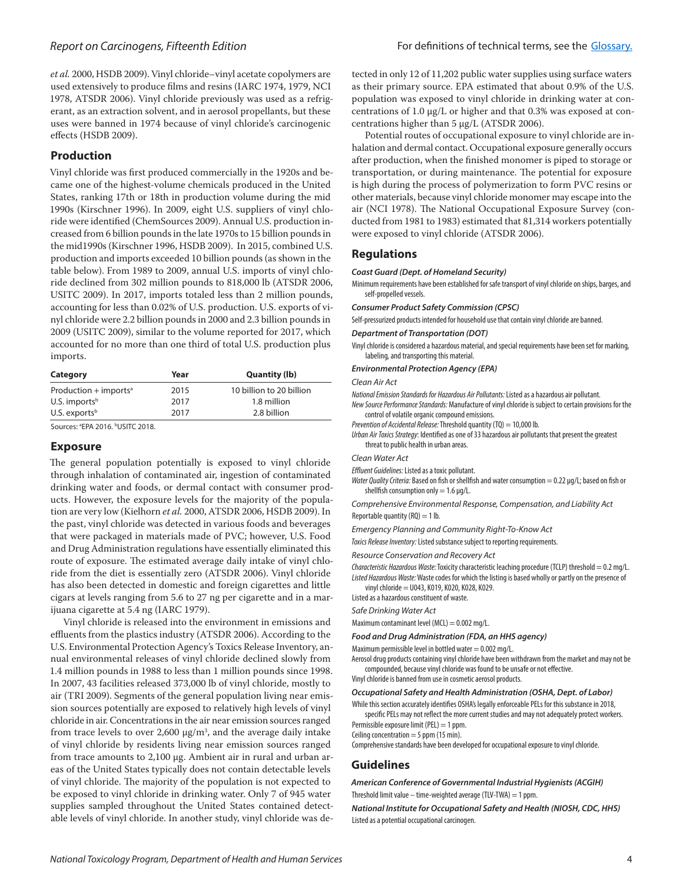*et al.* 2000, HSDB 2009). Vinyl chloride–vinyl acetate copolymers are used extensively to produce films and resins (IARC 1974, 1979, NCI 1978, ATSDR 2006). Vinyl chloride previously was used as a refrigerant, as an extraction solvent, and in aerosol propellants, but these uses were banned in 1974 because of vinyl chloride's carcinogenic effects (HSDB 2009).

## **Production**

Vinyl chloride was first produced commercially in the 1920s and became one of the highest-volume chemicals produced in the United States, ranking 17th or 18th in production volume during the mid 1990s (Kirschner 1996). In 2009, eight U.S. suppliers of vinyl chloride were identified (ChemSources 2009). Annual U.S. production increased from 6 billion pounds in the late 1970s to 15 billion pounds in the mid1990s (Kirschner 1996, HSDB 2009). In 2015, combined U.S. production and imports exceeded 10 billion pounds (as shown in the table below). From 1989 to 2009, annual U.S. imports of vinyl chloride declined from 302 million pounds to 818,000 lb (ATSDR 2006, USITC 2009). In 2017, imports totaled less than 2 million pounds, accounting for less than 0.02% of U.S. production. U.S. exports of vinyl chloride were 2.2 billion pounds in 2000 and 2.3 billion pounds in 2009 (USITC 2009), similar to the volume reported for 2017, which accounted for no more than one third of total U.S. production plus imports.

| Category                            | Year | <b>Quantity (lb)</b>     |
|-------------------------------------|------|--------------------------|
| Production $+$ imports <sup>a</sup> | 2015 | 10 billion to 20 billion |
| U.S. imports <sup>b</sup>           | 2017 | 1.8 million              |
| U.S. exports $b$                    | 2017 | 2.8 billion              |

Sources: ªEPA 2016. <sup>b</sup>USITC 2018.

## **Exposure**

The general population potentially is exposed to vinyl chloride through inhalation of contaminated air, ingestion of contaminated drinking water and foods, or dermal contact with consumer products. However, the exposure levels for the majority of the population are very low (Kielhorn *et al.* 2000, ATSDR 2006, HSDB 2009). In the past, vinyl chloride was detected in various foods and beverages that were packaged in materials made of PVC; however, U.S. Food and Drug Administration regulations have essentially eliminated this route of exposure. The estimated average daily intake of vinyl chloride from the diet is essentially zero (ATSDR 2006). Vinyl chloride has also been detected in domestic and foreign cigarettes and little cigars at levels ranging from 5.6 to 27 ng per cigarette and in a marijuana cigarette at 5.4 ng (IARC 1979).

Vinyl chloride is released into the environment in emissions and effluents from the plastics industry (ATSDR 2006). According to the U.S. Environmental Protection Agency's Toxics Release Inventory, annual environmental releases of vinyl chloride declined slowly from 1.4 million pounds in 1988 to less than 1 million pounds since 1998. In 2007, 43 facilities released 373,000 lb of vinyl chloride, mostly to air (TRI 2009). Segments of the general population living near emission sources potentially are exposed to relatively high levels of vinyl chloride in air. Concentrations in the air near emission sources ranged from trace levels to over 2,600  $\mu$ g/m<sup>3</sup>, and the average daily intake of vinyl chloride by residents living near emission sources ranged from trace amounts to 2,100 μg. Ambient air in rural and urban areas of the United States typically does not contain detectable levels of vinyl chloride. The majority of the population is not expected to be exposed to vinyl chloride in drinking water. Only 7 of 945 water supplies sampled throughout the United States contained detectable levels of vinyl chloride. In another study, vinyl chloride was de-

tected in only 12 of 11,202 public water supplies using surface waters as their primary source. EPA estimated that about 0.9% of the U.S. population was exposed to vinyl chloride in drinking water at concentrations of 1.0 μg/L or higher and that 0.3% was exposed at concentrations higher than 5 μg/L (ATSDR 2006).

Potential routes of occupational exposure to vinyl chloride are inhalation and dermal contact. Occupational exposure generally occurs after production, when the finished monomer is piped to storage or transportation, or during maintenance. The potential for exposure is high during the process of polymerization to form PVC resins or other materials, because vinyl chloride monomer may escape into the air (NCI 1978). The National Occupational Exposure Survey (conducted from 1981 to 1983) estimated that 81,314 workers potentially were exposed to vinyl chloride (ATSDR 2006).

## **Regulations**

#### *Coast Guard (Dept. of Homeland Security)*

Minimum requirements have been established for safe transport of vinyl chloride on ships, barges, and self-propelled vessels.

*Consumer Product Safety Commission (CPSC)*

Self-pressurized products intended for household use that contain vinyl chloride are banned.

#### *Department of Transportation (DOT)*

Vinyl chloride is considered a hazardous material, and special requirements have been set for marking, labeling, and transporting this material.

#### *Environmental Protection Agency (EPA)*

#### *Clean Air Act*

*National Emission Standards for Hazardous Air Pollutants:* Listed as a hazardous air pollutant.

*New Source Performance Standards:* Manufacture of vinyl chloride is subject to certain provisions for the control of volatile organic compound emissions.

*Prevention of Accidental Release:* Threshold quantity (TQ) = 10,000 lb.

*Urban Air Toxics Strategy*: Identified as one of 33 hazardous air pollutants that present the greatest threat to public health in urban areas.

#### *Clean Water Act*

*Effluent Guidelines:* Listed as a toxic pollutant.

*Water Quality Criteria: Based on fish or shellfish and water consumption* = 0.22 μg/L; based on fish or shellfish consumption only =  $1.6 \mu g/L$ .

*Comprehensive Environmental Response, Compensation, and Liability Act* Reportable quantity  $(RQ) = 1$  lb.

*Emergency Planning and Community Right-To-Know Act*

*Toxics Release Inventory:* Listed substance subject to reporting requirements.

*Resource Conservation and Recovery Act*

*Characteristic Hazardous Waste:* Toxicity characteristic leaching procedure (TCLP) threshold = 0.2 mg/L. *Listed Hazardous Waste:* Waste codes for which the listing is based wholly or partly on the presence of vinyl chloride = U043, K019, K020, K028, K029.

Listed as a hazardous constituent of waste.

## *Safe Drinking Water Act*

Maximum contaminant level (MCL) = 0.002 mg/L.

*Food and Drug Administration (FDA, an HHS agency)*

Maximum permissible level in bottled water  $= 0.002$  mg/L.

Aerosol drug products containing vinyl chloride have been withdrawn from the market and may not be compounded, because vinyl chloride was found to be unsafe or not effective.

Vinyl chloride is banned from use in cosmetic aerosol products.

#### *Occupational Safety and Health Administration (OSHA, Dept. of Labor)*

While this section accurately identifies OSHA's legally enforceable PELs for this substance in 2018, specific PELs may not reflect the more current studies and may not adequately protect workers.

Permissible exposure limit (PEL)  $=$  1 ppm.

Ceiling concentration  $=$  5 ppm (15 min).

Comprehensive standards have been developed for occupational exposure to vinyl chloride.

## **Guidelines**

*American Conference of Governmental Industrial Hygienists (ACGIH)* Threshold limit value – time-weighted average (TLV-TWA) = 1 ppm.

*National Institute for Occupational Safety and Health (NIOSH, CDC, HHS)* Listed as a potential occupational carcinogen.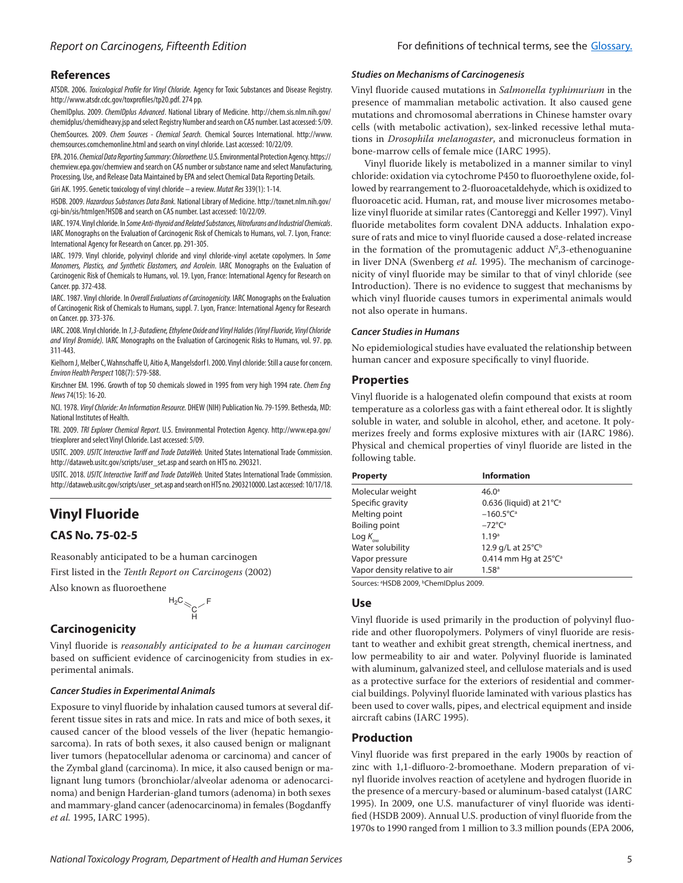### **References**

ATSDR. 2006. *Toxicological Profile for Vinyl Chloride.* Agency for Toxic Substances and Disease Registry. http://www.atsdr.cdc.gov/toxprofiles/tp20.pdf. 274 pp.

ChemIDplus. 2009. *ChemIDplus Advanced*. National Library of Medicine. http://chem.sis.nlm.nih.gov/ chemidplus/chemidheavy.jsp and select Registry Number and search on CAS number. Last accessed: 5/09. ChemSources. 2009. *Chem Sources - Chemical Search.* Chemical Sources International. http://www. chemsources.comchemonline.html and search on vinyl chloride. Last accessed: 10/22/09.

EPA. 2016. *Chemical Data Reporting Summary: Chloroethene.* U.S. Environmental Protection Agency. https:// chemview.epa.gov/chemview and search on CAS number or substance name and select Manufacturing, Processing, Use, and Release Data Maintained by EPA and select Chemical Data Reporting Details.

Giri AK. 1995. Genetic toxicology of vinyl chloride – a review. *Mutat Res* 339(1): 1-14.

HSDB. 2009. *Hazardous Substances Data Bank.* National Library of Medicine. http://toxnet.nlm.nih.gov/ cgi-bin/sis/htmlgen?HSDB and search on CAS number. Last accessed: 10/22/09.

IARC. 1974. Vinyl chloride. In *Some Anti-thyroid and Related Substances, Nitrofurans and Industrial Chemicals*. IARC Monographs on the Evaluation of Carcinogenic Risk of Chemicals to Humans, vol. 7. Lyon, France: International Agency for Research on Cancer. pp. 291-305.

IARC. 1979. Vinyl chloride, polyvinyl chloride and vinyl chloride-vinyl acetate copolymers. In *Some Monomers, Plastics, and Synthetic Elastomers, and Acrolein*. IARC Monographs on the Evaluation of Carcinogenic Risk of Chemicals to Humans, vol. 19. Lyon, France: International Agency for Research on Cancer. pp. 372-438.

IARC. 1987. Vinyl chloride. In *Overall Evaluations of Carcinogenicity.* IARC Monographs on the Evaluation of Carcinogenic Risk of Chemicals to Humans, suppl. 7. Lyon, France: International Agency for Research on Cancer. pp. 373-376.

IARC. 2008. Vinyl chloride. In *1,3-Butadiene, Ethylene Oxide and Vinyl Halides (Vinyl Fluoride, Vinyl Chloride and Vinyl Bromide).* IARC Monographs on the Evaluation of Carcinogenic Risks to Humans, vol. 97. pp. 311-443.

Kielhorn J, Melber C, Wahnschaffe U, Aitio A, Mangelsdorf I. 2000. Vinyl chloride: Still a cause for concern. *Environ Health Perspect* 108(7): 579-588.

Kirschner EM. 1996. Growth of top 50 chemicals slowed in 1995 from very high 1994 rate. *Chem Eng News* 74(15): 16-20.

NCI. 1978. *Vinyl Chloride: An Information Resource.* DHEW (NIH) Publication No. 79-1599. Bethesda, MD: National Institutes of Health.

TRI. 2009. *TRI Explorer Chemical Report.* U.S. Environmental Protection Agency. http://www.epa.gov/ triexplorer and select Vinyl Chloride. Last accessed: 5/09.

USITC. 2009. *USITC Interactive Tariff and Trade DataWeb.* United States International Trade Commission. http://dataweb.usitc.gov/scripts/user\_set.asp and search on HTS no. 290321.

USITC. 2018. *USITC Interactive Tariff and Trade DataWeb.* United States International Trade Commission. http://dataweb.usitc.gov/scripts/user\_set.asp and search on HTS no. 2903210000. Last accessed: 10/17/18.

## **Vinyl Fluoride**

## **CAS No. 75-02-5**

Reasonably anticipated to be a human carcinogen

First listed in the *Tenth Report on Carcinogens* (2002)

Also known as fluoroethene



## **Carcinogenicity**

Vinyl fluoride is *reasonably anticipated to be a human carcinogen* based on sufficient evidence of carcinogenicity from studies in experimental animals.

#### *Cancer Studies in Experimental Animals*

Exposure to vinyl fluoride by inhalation caused tumors at several different tissue sites in rats and mice. In rats and mice of both sexes, it caused cancer of the blood vessels of the liver (hepatic hemangiosarcoma). In rats of both sexes, it also caused benign or malignant liver tumors (hepatocellular adenoma or carcinoma) and cancer of the Zymbal gland (carcinoma). In mice, it also caused benign or malignant lung tumors (bronchiolar/alveolar adenoma or adenocarcinoma) and benign Harderian-gland tumors (adenoma) in both sexes and mammary-gland cancer (adenocarcinoma) in females (Bogdanffy *et al.* 1995, IARC 1995).

#### *Studies on Mechanisms of Carcinogenesis*

Vinyl fluoride caused mutations in *Salmonella typhimurium* in the presence of mammalian metabolic activation. It also caused gene mutations and chromosomal aberrations in Chinese hamster ovary cells (with metabolic activation), sex-linked recessive lethal mutations in *Drosophila melanogaster*, and micronucleus formation in bone-marrow cells of female mice (IARC 1995).

Vinyl fluoride likely is metabolized in a manner similar to vinyl chloride: oxidation via cytochrome P450 to fluoroethylene oxide, followed by rearrangement to 2-fluoroacetaldehyde, which is oxidized to fluoroacetic acid. Human, rat, and mouse liver microsomes metabolize vinyl fluoride at similar rates (Cantoreggi and Keller 1997). Vinyl fluoride metabolites form covalent DNA adducts. Inhalation exposure of rats and mice to vinyl fluoride caused a dose-related increase in the formation of the promutagenic adduct  $N^2$ ,3-ethenoguanine in liver DNA (Swenberg *et al.* 1995). The mechanism of carcinogenicity of vinyl fluoride may be similar to that of vinyl chloride (see Introduction). There is no evidence to suggest that mechanisms by which vinyl fluoride causes tumors in experimental animals would not also operate in humans.

#### *Cancer Studies in Humans*

No epidemiological studies have evaluated the relationship between human cancer and exposure specifically to vinyl fluoride.

## **Properties**

Vinyl fluoride is a halogenated olefin compound that exists at room temperature as a colorless gas with a faint ethereal odor. It is slightly soluble in water, and soluble in alcohol, ether, and acetone. It polymerizes freely and forms explosive mixtures with air (IARC 1986). Physical and chemical properties of vinyl fluoride are listed in the following table.

| <b>Property</b>               | <b>Information</b>                      |
|-------------------------------|-----------------------------------------|
| Molecular weight              | 46.0 <sup>a</sup>                       |
| Specific gravity              | 0.636 (liquid) at $21^{\circ}C^{\circ}$ |
| Melting point                 | $-160.5^{\circ}C^{a}$                   |
| Boiling point                 | $-72^{\circ}C^{\circ}$                  |
| Log $K_{_{\rm{ow}}}$          | 1.19 <sup>a</sup>                       |
| Water solubility              | 12.9 g/L at 25°C <sup>b</sup>           |
| Vapor pressure                | 0.414 mm Hg at $25^{\circ}C^{\circ}$    |
| Vapor density relative to air | 1.58 <sup>a</sup>                       |
|                               |                                         |

Sources: <sup>a</sup>HSDB 2009, <sup>b</sup>ChemIDplus 2009.

#### **Use**

Vinyl fluoride is used primarily in the production of polyvinyl fluoride and other fluoropolymers. Polymers of vinyl fluoride are resistant to weather and exhibit great strength, chemical inertness, and low permeability to air and water. Polyvinyl fluoride is laminated with aluminum, galvanized steel, and cellulose materials and is used as a protective surface for the exteriors of residential and commercial buildings. Polyvinyl fluoride laminated with various plastics has been used to cover walls, pipes, and electrical equipment and inside aircraft cabins (IARC 1995).

## **Production**

Vinyl fluoride was first prepared in the early 1900s by reaction of zinc with 1,1-difluoro-2-bromoethane. Modern preparation of vinyl fluoride involves reaction of acetylene and hydrogen fluoride in the presence of a mercury-based or aluminum-based catalyst (IARC 1995). In 2009, one U.S. manufacturer of vinyl fluoride was identified (HSDB 2009). Annual U.S. production of vinyl fluoride from the 1970s to 1990 ranged from 1 million to 3.3 million pounds (EPA 2006,